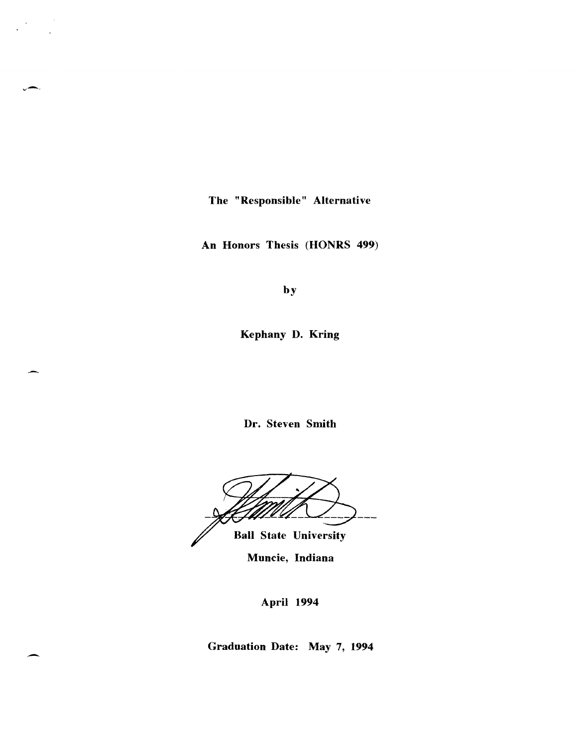The "Responsible" Alternative

-

-

An Honors Thesis (HONRS 499)

by

Kephany D. Kring

Dr. Steven Smith

<u>VII.</u>

Ball State University

Muncie, Indiana

April 1994

Graduation Date: May 7, 1994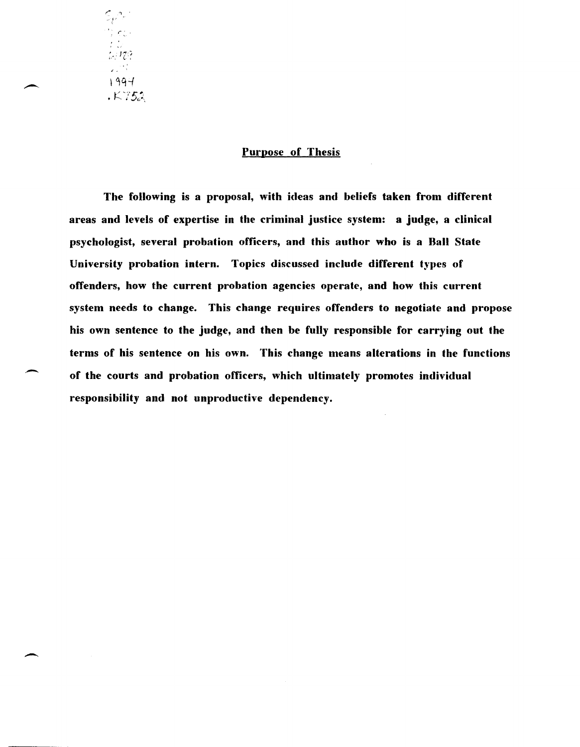$\mathbb{Z}_p$ n, ा ग्रहरी  $\mathbf{z}$  ,  $\mathbf{z}^{(k)}$  $1997$  $. K752$ 

.-

-

## Purpose of Thesis

The following is a proposal, with ideas and beliefs taken from different areas and levels of expertise in the criminal justice system: a judge, a clinical psychologist, several probation officers, and this author who is a Hall State University probation intern. Topics discussed include different types of offenders, how the current probation agencies operate, and how this current system needs to change. This change requires offenders to negotiate and propose his own sentence to the judge, and then be fully responsible for carrying out the terms of his sentence on his own. This change means alterations in the functions of the courts and probation officers, which ultimately promotes individual responsibility and not unproductive dependency.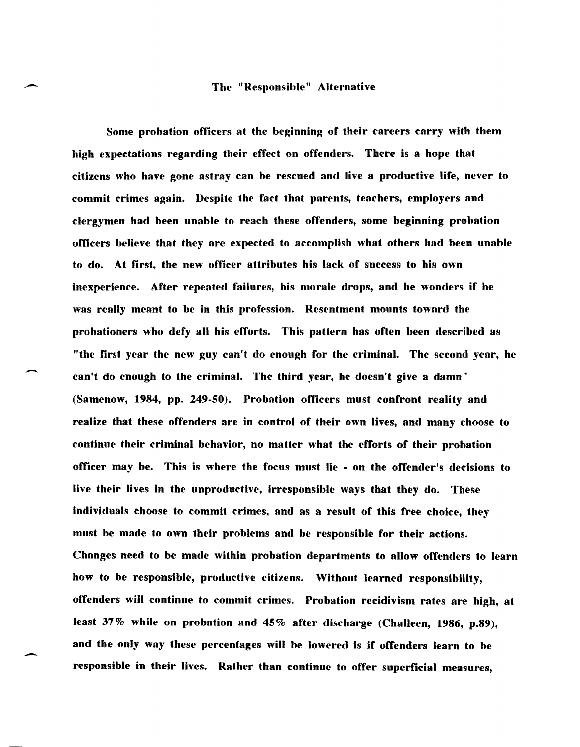## The "Responsible" Alternative

.-

-

-

Some probation officers at the beginning of their careers carry with them high expectations regarding their effect on offenders. There is a hope that citizens who have gone astray can be rescued and live a productive life, never to commit crimes again. Despite the fact that parents, teachers, employers and clergymen had been unable to reach these offenders, some beginning probation officers believe that they are expected to accomplish what others had been unable to do. At first, the new officer attributes his lack of success to his own inexperience. After repeated failures, his morale drops, and he wonders if he was really meant to be in this profession. Resentment mounts toward the probationers who defy all his efforts. This pattern has often been described as "the first year the new guy can't do enough for the criminal. The second year, he can't do enough to the criminal. The third year, he doesn't give a damn" (Samenow, 1984, pp. 249-50). Probation officers must confront reality and realize that these offenders are in control of their own lives, and many choose to continue their criminal behavior, no matter what the efforts of their probation officer may be. This is where the focus must lie - on the offender's decisions to live their lives in the unproductive, irresponsible ways that they do. These individuals choose to commit crimes, and as a result of this free choice, they must be made to own their problems and be responsible for their actions. Changes need to be made within probation departments to allow offenders to learn how to be responsible, productive citizens. Without learned responsibility, offenders will continue to commit crimes. Probation recidivism rates are high, at least 37% while on probation and 45% after discharge (Challeen, 1986, p.89), and the only way these percentages will be lowered is if offenders learn to be responsible in their lives. Rather than continue to offer superficial measures,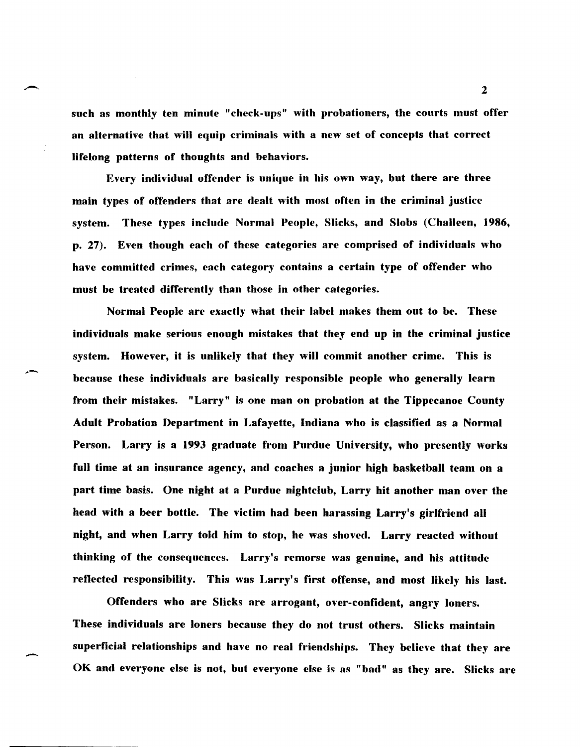such as monthly ten minute "check-ups" with probationers, the courts must offer an alternative that will equip criminals with a new set of concepts that correct lifelong patterns of thoughts and behaviors.

Every individual offender is unique in his own way, but there are three main types of offenders that are dealt with most often in the criminal justice system. These types include Normal People, Slicks, and Slobs (Challeen, 1986, p. 27). Even though each of these categories are comprised of individuals who have committed crimes, each category contains a certain type of offender who must be treated differently than those in other categories.

Normal People are exactly what their label makes them out to be. These individuals make serious enough mistakes that they end up in the criminal justice system. However, it is unlikely that they will commit another crime. This is because these individuals are basically responsible people who generally learn from their mistakes. "Larry" is one man on probation at the Tippecanoe County Adult Probation Department in Lafayette, Indiana who is classified as a Normal Person. Larry is a 1993 graduate from Purdue University, who presently works full time at an insurance agency, and coaches a junior high basketball team on a part time basis. One night at a I'urdue nightclub, Larry hit another man over the head with a beer bottle. The victim had been harassing Larry's girlfriend all night, and when Larry told him to stop, he was shoved. Larry reacted without thinking of the consequences. Larry's remorse was genuine, and his attitude reflected responsibility. This was Larry's first offense, and most likely his last.

Offenders who are Slicks are arrogant, over-confident, angry loners. These individuals are loners because they do not trust others. Slicks maintain superficial relationships and have no real friendships. They believe that they are OK and everyone else is not, but everyone else is as "bad" as they are. Slicks are

-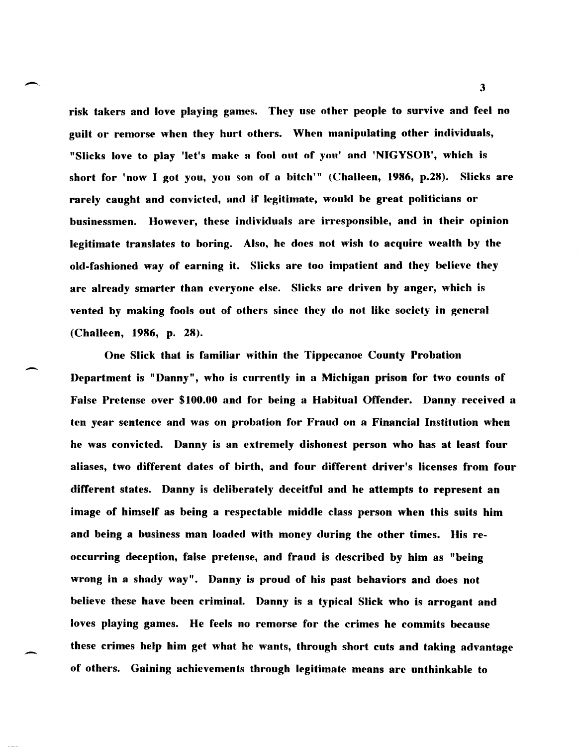risk takers and love playing games. They use other people to survive and feel no guilt or remorse when they hurt others. When manipulating other individuals, "Slicks love to play 'let's make a fool out of you' and 'NIGYSOB', which is short for 'now I got you, you son of a bitch'" (Challeen, 1986, p.2S). Slicks are rarely caught and convicted, and if legitimate, would be great politicians or businessmen. However, these individuals are irresponsible, and in their opinion legitimate translates to boring. Also, he does not wish to acquire wealth by the old-fashioned way of earning it. Slicks are too impatient and they believe they are already smarter than everyone else. Slicks are driven by anger, which is vented by making fools out of others since they do not like society in general (Challeen, 1986, p. 28).

-,

-

-

One Slick that is familiar within the Tippecanoe County Probation Department is "Danny", who is currently in a Michigan prison for two counts of False Pretense over \$100.00 and for being a Habitual Offender. Danny received a ten year sentence and was on probation for Fraud on a Financial Institution when he was convicted. Danny is an extremely dishonest person who has at least four aliases, two different dates of birth, and four different driver's licenses from four different states. Danny is deliberately deceitful and he attempts to represent an image of himself as being a respectable middle class person when this suits him and being a business man loaded with money during the other times. His reoccurring deception, false pretense, and fraud is described by him as "being wrong in a shady way". Danny is proud of his past behaviors and does not believe these have been criminal. Danny is a typical Slick who is arrogant and loves playing games. He feels no remorse for the crimes he commits because these crimes help him get what he wants, through short cuts and taking advantage of others. Gaining achievements through legitimate means are unthinkable to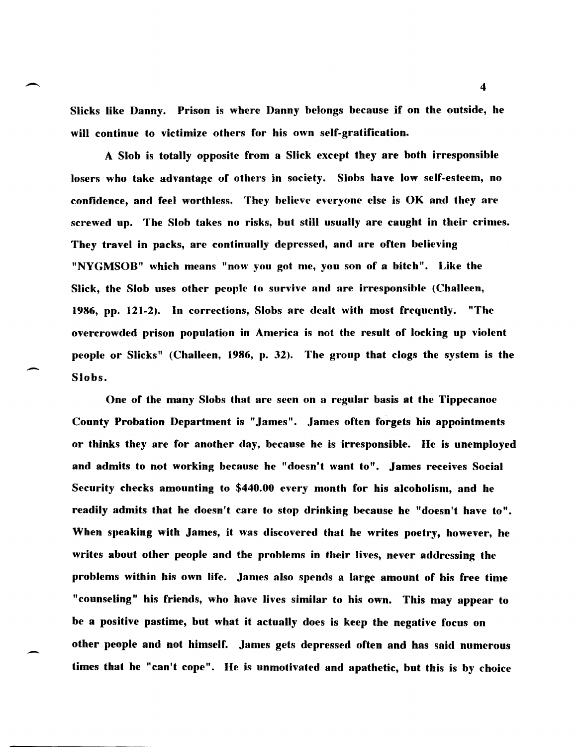Slicks like Danny. Prison is where Danny belongs because if on the outside, he will continue to victimize others for his own self-gratification.

-

-

-

A Slob is totally opposite from a Slick except they are both irresponsible losers who take advantage of others in society. Slobs have low self-esteem, no confidence, and feel worthless. They believe everyone else is OK and they are screwed up. The Slob takes no risks, but still usually are caught in their crimes. They travel in packs, are continually depressed, and are often believing "NYGMSOB" which means "now you got me, you son of a bitch". Like the Slick, the Slob uses other people to survive and are irresponsible (Challeen, 1986, pp. 121-2). In corrections, Slobs are dealt with most frequently. "The overcrowded prison population in America is not the result of locking up violent people or Slicks" (Challeen, 1986, p. 32). The group that clogs the system is the Slobs.

One of the many Slobs that are seen on a regular basis at the Tippecanoe County Probation Department is "James". James often forgets his appointments or thinks they are for another day, because he is irresponsible. He is unemployed and admits to not working because he "doesn't want to". James receives Social Security checks amounting to \$440.00 every month for his alcoholism, and he readily admits that he doesn't care to stop drinking because he "doesn't have to". When speaking with James, it was discovered that he writes poetry, however, he writes about other people and the problems in their lives, never addressing the problems within his own life. James also spends a large amount of his free time "counseling" his friends, who have lives similar to his own. This may appear to be a positive pastime, but what it actually does is keep the negative focus on other people and not himself. James gets depressed often and has said numerous times that he "can't cope". He is unmotivated and apathetic, but this is by choice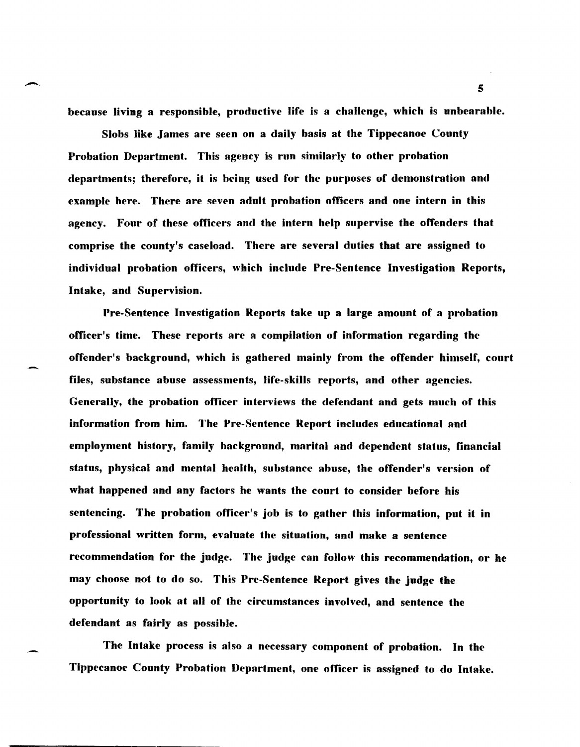because living a responsible, productive life is a challenge, which is unbearable.

Slobs like James are seen on a daily basis at the Tippecanoe County Probation Department. This agency is run similarly to other probation departments; therefore, it is being used for the purposes of demonstration and example here. There are seven adult probation officers and one intern in this agency. Four of these officers and the intern help supervise the offenders that comprise the county's caseload. There are several duties that are assigned to individual probation officers, which include Pre-Sentence Investigation Reports, Intake, and Supervision.

Pre-Sentence Investigation Reports take up a large amount of a probation officer's time. These reports are a compilation of information regarding the offender's background, which is gathered mainly from the offender himself, court flies, substance abuse assessments, life-skills reports, and other agencies. Generally, the probation officer interviews the defendant and gets much of this information from him. The Pre-Sentence Report includes educational and employment history, family background, marital and dependent status, financial status, physical and mental health, substance abuse, the offender's version of what happened and any factors he wants the court to consider before his sentencing. The probation officer's job is to gather this information, put it in professional written form, evaluate the situation, and make a sentence recommendation for the judge. The judge can follow this recommendation, or he may choose not to do so. This Pre-Sentence Report gives the judge the opportunity to look at all of the circumstances involved, and sentence the defendant as fairly as possible.

The Intake process is also a necessary component of probation. In the Tippecanoe County Probation Department, one officer is assigned to do Intake.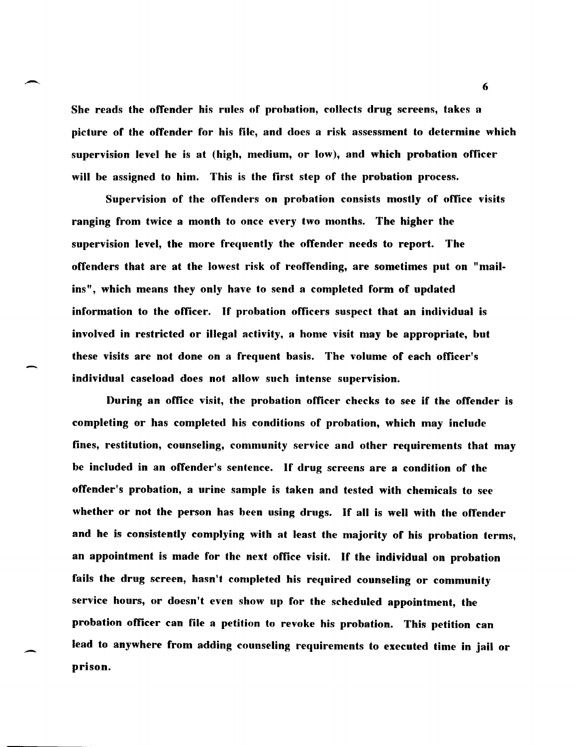She reads the offender his rules of probation, collects drug screens, takes a picture of the offender for his file, and does a risk assessment to determine which supervision level he is at (high, medium, or low), and which probation officer will be assigned to him. This is the first step of the probation process.

Supervision of the offenders on probation consists mostly of office visits ranging from twice a month to once every two months. The higher the supervision level, the more frequently the offender needs to report. The offenders that are at the lowest risk of reoffending, are sometimes put on "mailins", which means they only have to send a completed form of updated information to the officer. If probation officers suspect that an individual is involved in restricted or illegal activity, a home visit may be appropriate, but these visits are not done on a frequent basis. The volume of each officer's individual caseload does not allow such intense supervision.

-

-

During an office visit, the probation officer checks to see if the offender is completing or has completed his conditions of probation, which may include fines, restitution, counseling, community service and other requirements that may be included in an offender's sentence. If drug screens are a condition of the offender's probation, a urine sample is taken and tested with chemicals to see whether or not the person has been using drugs. If all is well with the offender and he is consistently complying with at least the majority of his probation terms, an appointment is made for the next office visit. If the individual on probation fails the drug screen, hasn't completed his required counseling or community service hours, or doesn't even show up for the scheduled appointment, the probation officer can file a petition to revoke his probation. This petition can lead to anywhere from adding counseling requirements to executed time in jail or prison.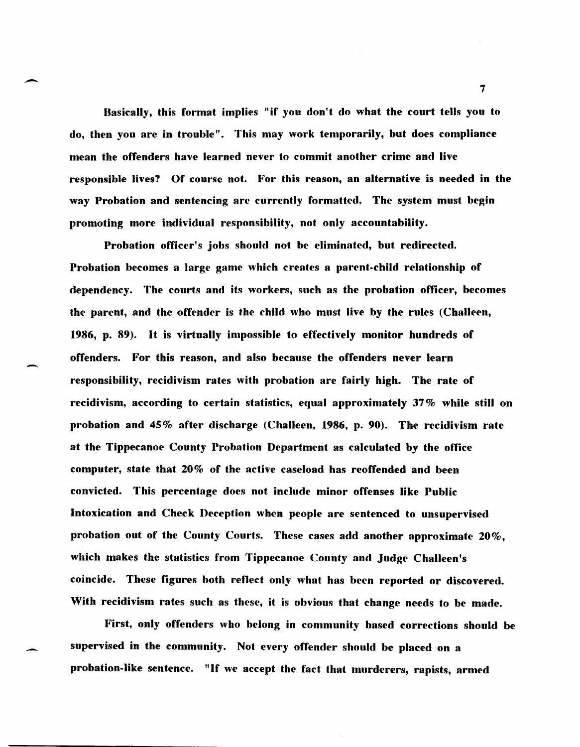Basically, this format implies "if you don't do what the court tells you to do, then you are in trouble". This may work temporarily, but does compliance mean the offenders have learned never to commit another crime and live responsible lives? Of course not. For this reason, an alternative is needed in the way Probation and sentencing are currently formatted. The system must begin promoting more individual responsibility, not only accountability.

-

-

Probation officer's jobs should not be eliminated, but redirected. Probation becomes a large game which creates a parent-child relationship of dependency. The courts and its workers, such as the probation officer, becomes the parent, and the offender is the child who must live by the rules (Challeen, 1986, p. 89). It is virtually impossible to effectively monitor hundreds of offenders. For this reason, and also because the offenders never learn responsibility, recidivism rates with probation are fairly high. The rate of recidivism, according to certain statistics, equal approximately 37% while still on probation and 45% after discharge (Challeen, 1986, p. 90). The recidivism rate at the Tippecanoe County Probation Department as calculated by the office computer, state that 20% of the active caseload has reoffended and been convicted. This percentage does not include minor offenses like Public Intoxication and Check Deception when people are sentenced to unsupervised probation out of the County Courts. These cases add another approximate 20%, which makes the statistics from Tippecanoe County and Judge Challeen's coincide. These figures both reflect only what has been reported or discovered. With recidivism rates such as these, it is obvious that change needs to be made.

First, only offenders who belong in community based corrections should be supervised in the community. Not every offender should be placed on a probation-like sentence. "If we accept the fact that murderers, rapists, armed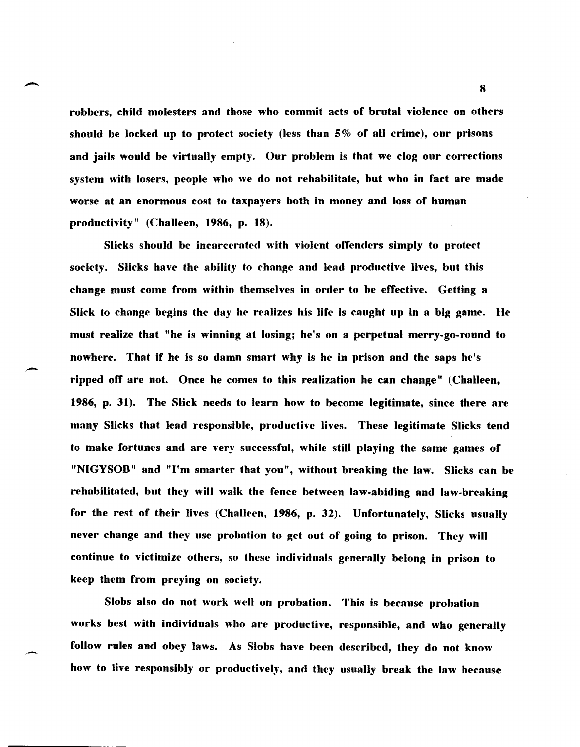robbers, child molesters and those who commit acts of brutal violence on others should be locked up to protect society (less than 5 % of all crime), our prisons and jails would be virtually empty. Our problem is that we clog our corrections system with losers, people who we do not rehabilitate, but who in fact are made worse at an enormous cost to taxpayers both in money and loss of human productivity" (Challeen, 1986, p. 18).

Slicks should be incarcerated with violent offenders simply to protect society. Slicks have the ability to change and lead productive lives, but this change must come from within themselves in order to be effective. Getting a Slick to change begins the day he realizes his life is caught up in a big game. He must realize that "he is winning at losing; he's on a perpetual merry-go-round to nowhere. That if he is so damn smart why is he in prison and the saps he's ripped off are not. Once he comes to this realization he can change" (Challeen, 1986, p. 31). The Slick needs to learn how to become legitimate, since there are many Slicks that lead responsible, productive lives. These legitimate Slicks tend to make fortunes and are very successful, while still playing the same games of "NIGYSOB" and "I'm smarter that you", without breaking the law. Slicks can be rehabilitated, but they will walk the fence hetween law-abiding and law-breaking for the rest of their lives (Challeen, 1986, p. 32). Unfortunately, Slicks usually never change and they use probation to get out of going to prison. They will continue to victimize others, so these individuals generally belong in prison to keep them from preying on society.

-

-

Slobs also do not work well on probation. This is because probation works best with individuals who are productive, responsible, and who generally follow rules and obey laws. As Slobs have been described, they do not know how to live responsibly or productively, and they usually break the law because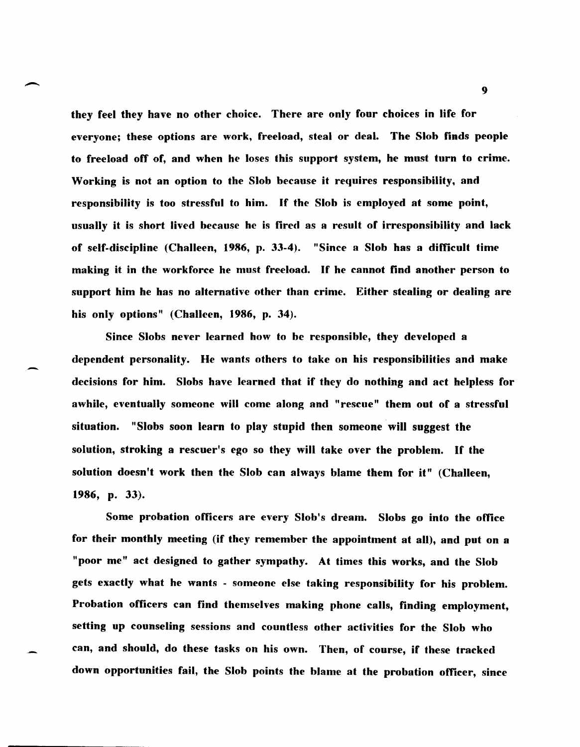they feel they have no other choice. There are only four choices in life for everyone; these options are work, freeload, steal or deal. The Slob finds people to freeload off of, and when he loses this support system, he must turn to crime. Working is not an option to the Slob because it requires responsibility. and responsibility is too stressful to him. If the Slob is employed at some point, usually it is short lived because he is fired as a result of irresponsibility and lack of self-discipline (Challeen, 1986, p. 33-4). "Since a Slob has a difficult time making it in the workforce he must freeload. If he cannot find another person to support him he has no alternative other than crime. Either stealing or dealing are his only options" (Challeen, 1986, p. 34).

 $\overline{\phantom{a}}$ 

-

Since Slobs never learned how to be responsible, they developed a dependent personality. He wants others to take on his responsibilities and make decisions for him. Slobs have learned that if they do nothing and act helpless for awhile, eventually someone will come along and "rescue" them out of a stressful situation. "Slobs soon learn to play stupid then someone will suggest the solution, stroking a rescuer's ego so they will take over the problem. If the solution doesn't work then the Slob can always blame them for it" (Challeen, 1986, p. 33).

Some probation officers are every Slob's dream. Slobs go into the office for their monthly meeting (if they remember the appointment at all), and put on a "poor me" act designed to gather sympathy. At times this works, and the Slob gets exactly what he wants - someone else taking responsibility for his problem. Probation officers can find themselves making phone calls, finding employment, setting up counseling sessions and countless other activities for the Slob who can, and should, do these tasks on his own. Then, of course, if these tracked down opportunities fail, the Slob points the blame at the probation officer, since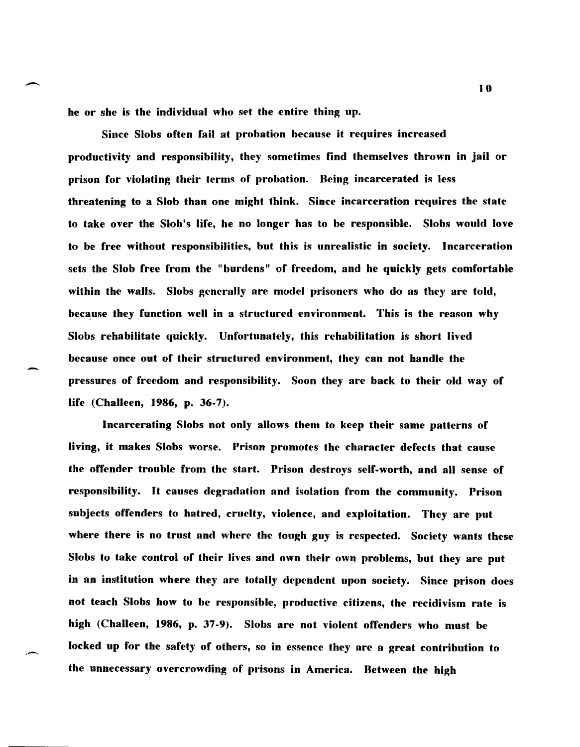he or she is the individual who set the entire thing up.

-

Since Slobs often fail at probation because it requires increased productivity and responsibility, they sometimes find themselves thrown in jail or prison for violating their terms of probation. Being incarcerated is less threatening to a Slob than one might think. Since incarceration requires the state to take over the Slob's life, he no longer has to be responsible. Slobs would love to be free without responsibilities, but this is unrealistic in society. Incarceration sets the Slob free from the "burdens" of freedom, and he quickly gets comfortable within the walls. Slobs generally are model prisoners who do as they are told, because they function well in a structured environment. This is the reason why Slobs rehabilitate quickly. Unfortunately, this rehabilitation is short lived because once out of their structured environment, they can not handle the pressures of freedom and responsibility. Soon they are back to their old way of life (Challeen, 1986, p. 36-7).

Incarcerating Slobs not only allows them to keep their same patterns of living, it makes Slobs worse. Prison promotes the character defects that cause the offender trouble from the start. Prison destroys self-worth, and all sense of responsibility. It causes degradation and isolation from the community. Prison subjects offenders to hatred, cruelty, violence, and exploitation. They are put where there is no trust and where the tough guy is respected. Society wants these Slobs to take control of their lives and own their own problems, but they are put in an institution where they are totally dependent upon society. Since prison does not teach Slobs how to be responsible, productive citizens, the recidivism rate is high (Challeen, 1986, p. 37-9). Slobs are not violent offenders who must be locked up for the safety of others, so in essence they are a great contribution to the unnecessary overcrowding of prisons in America. Between the high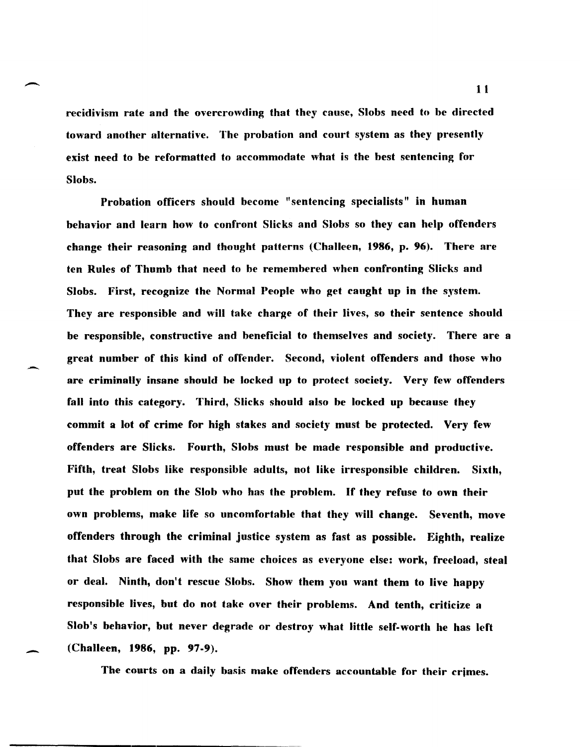recidivism rate and the overcrowding that they cause, Slobs need to be directed toward another alternative. The probation and court system as they presently exist need to be reformatted to accommodate what is the best sentencing for Slobs.

 $\overline{\phantom{0}}$ 

-

-

Probation officers should become "sentencing specialists" in human behavior and learn how to confront Slicks and Slobs so they can help offenders change their reasoning and thought patterns (Challeen, 1986, p. 96). There are ten Rules of Thumb that need to be remembered when confronting Slicks and Slobs. First, recognize the Normal People who get caught up in the system. They are responsible and will take charge of their lives, so their sentence should be responsible, constructive and beneficial to themselves and society. There are a great number of this kind of offender. Second, violent offenders and those who are criminally insane should be locked up to protect society. Very few offenders fall into this category. Third, Slicks should also be locked up because they commit a lot of crime for high stakes and society must be protected. Very few offenders are Slicks. Fourth, Slobs must be made responsible and productive. Fifth, treat Slobs like responsible adults, not like irresponsible children. Sixth, put the problem on the Slob who has the problem. If they refuse to own their own problems, make life so uncomfortable that they will change. Seventh, move offenders through the criminal justice system as fast as possible. Eighth, realize that Slobs are faced with the same choices as everyone else: work, freeload, steal or deal. Ninth, don't rescue Slobs. Show them you want them to live happy responsible lives, but do not take over their problems. And tenth, criticize a Slob's behavior, but never degrade or destroy what little self-worth he has left (Challeen, 1986, pp. 97-9).

The courts on a daily basis make offenders accountable for their crimes.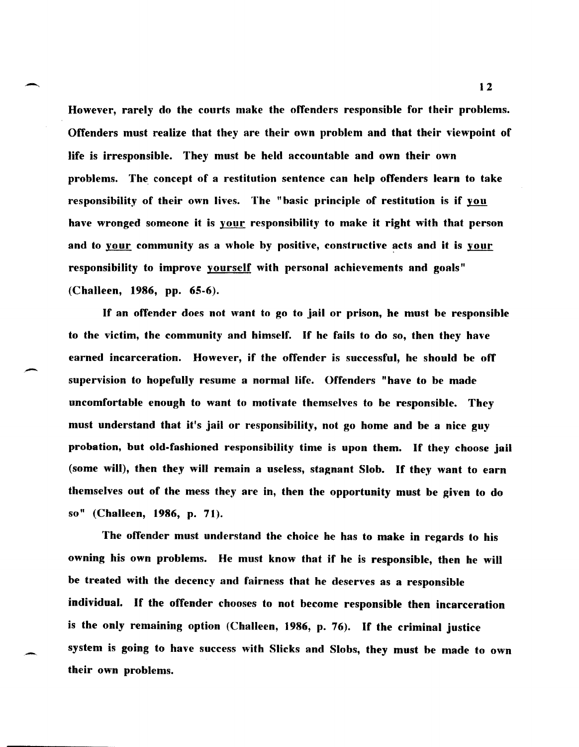However, rarely do the courts make the offenders responsible for their problems. Offenders must realize that they are their own problem and that their viewpoint of life is irresponsible. They must be held accountable and own their own problems. The concept of a restitution sentence can help offenders learn to take responsibility of their own lives. The "basic principle of restitution is if you have wronged someone it is your responsibility to make it right with that person and to your community as a whole by positive, constructive acts and it is your responsibility to improve yourself with personal achievements and goals" (Challeen, 1986, pp. 65-6).

If an offender does not want to go to jail or prison, he must be responsible to the victim, the community and himself. If he fails to do so, then they have earned incarceration. However, if the offender is successful, he should be off supervision to hopefully resume a normal life. Offenders "have to be made uncomfortable enough to want to motivate themselves to be responsible. They must understand that it's jail or responsibility, not go home and be a nice guy probation, but old-fashioned responsibility time is upon them. If they choose jail (some will), then they will remain a useless, stagnant Slob. If they want to earn themselves out of the mess they are in, then the opportunity must be given to do so" (Challeen, 1986, p. 71).

--

The offender must understand the choice he has to make in regards to his owning his own problems. He must know that if he is responsible, then he will be treated with the decency and fairness that he deserves as a responsible individual. If the offender chooses to not become responsible then incarceration is the only remaining option (Challeen, 1986, p. 76). If the criminal justice system is going to have success with Slicks and Slobs, they must be made to own their own problems.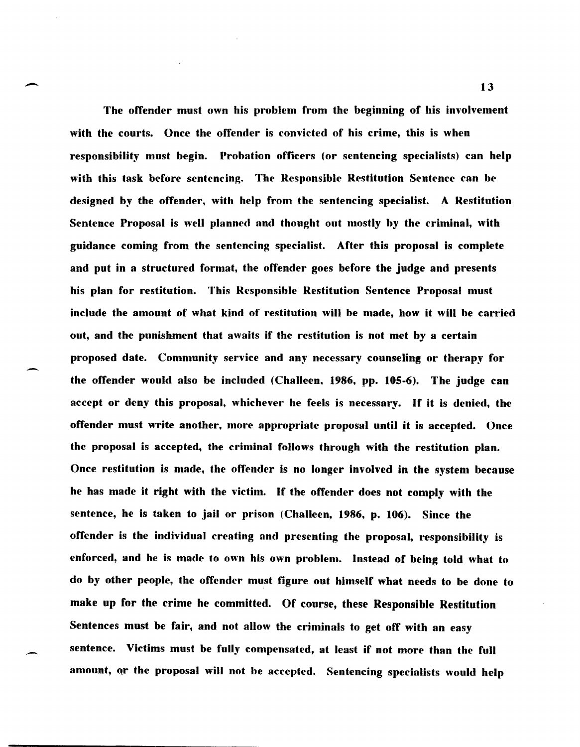The offender must own his problem from the beginning of his involvement with the courts. Once the offender is convicted of his crime, this is when responsibility must begin. Probation officers (or sentencing specialists) can help with this task before sentencing. The Responsible Restitution Sentence can be designed by the offender, with help from the sentencing specialist. A Restitution Sentence Proposal is well planned and thought out mostly by the criminal, with guidance coming from the sentencing specialist. After this proposal is complete and put in a structured format, the offender goes before the judge and presents his plan for restitution. This Responsible Restitution Sentence Proposal must include the amount of what kind of restitution will be made, how it will be carried out, and the punishment that awaits if the restitution is not met by a certain proposed date. Community service and any necessary counseling or therapy for the offender would also be included (Challeen, 1986, pp. 105-6). The judge can accept or deny this proposal. whichever he feels is necessary. If it is denied, the offender must write another. more appropriate proposal until it is accepted. Once the proposal is accepted. the criminal follows through with the restitution plan. Once restitution is made. the offender is no longer involved in the system because he has made it right with the victim. If the offender does not comply with the sentence, he is taken to jail or prison (Challeen, 1986, p. 106). Since the offender is the individual creating and presenting the proposal, responsibility is enforced, and he is made to own his own problem. Instead of being told what to do by other people, the offender must figure out himself what needs to be done to make up for the crime he committed. Of course, these Responsible Restitution Sentences must be fair, and not allow the criminals to get off with an easy sentence. Victims must be fully compensated, at least if not more than the full amount, qr the proposal will not be accepted. Sentencing specialists would help

13

-

--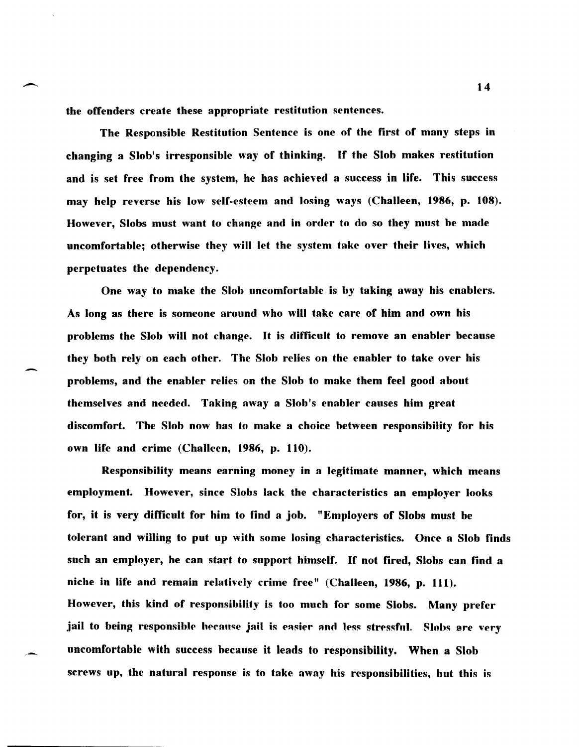the offenders create these appropriate restitution sentences.

-..

-

The Responsible Restitution Sentence is one of the first of many steps in changing a Slob's irresponsible way of thinking. If the Slob makes restitution and is set free from the system, he has achieved a success in life. This success may help reverse his low self-esteem and losing ways (Challeen, 1986, p. 108). However, Slobs must want to change and in order to do so they must be made uncomfortable; otherwise they will let the system take over their lives, which perpetuates the dependency.

One way to make the Slob uncomfortable is by taking away his enablers. As long as there is someone around who will take care of him and own his problems the Slob will not change. It is difficult to remove an enabler because they both rely on each other. The Slob relies on the enabler to take over his problems, and the enabler relies on the Slob to make them feel good about themselves and needed. Taking away a Slob's enabler causes him great discomfort. The Slob now has to make a choice between responsibility for his own life and crime (Challeen, 1986, p. 110).

Responsibility means earning money in a legitimate manner, which means employment. However, since Slobs lack the characteristics an employer looks for, it is very difficult for him to find a job. "Employers of Slobs must be tolerant and willing to put up with some losing characteristics. Once a Slob finds such an employer, he can start to support himself. If not fired, Slobs can find a niche in life and remain relatively crime free" (Challeen, 1986, p. 111). However, this kind of responsibility is too much for some Slobs. Many prefer jail to being responsible hecanse jail is easier and less stressful. Slobs are very uncomfortable with success because it leads to responsibility. When a Slob screws up, the natural response is to take away his responsibilities, but this is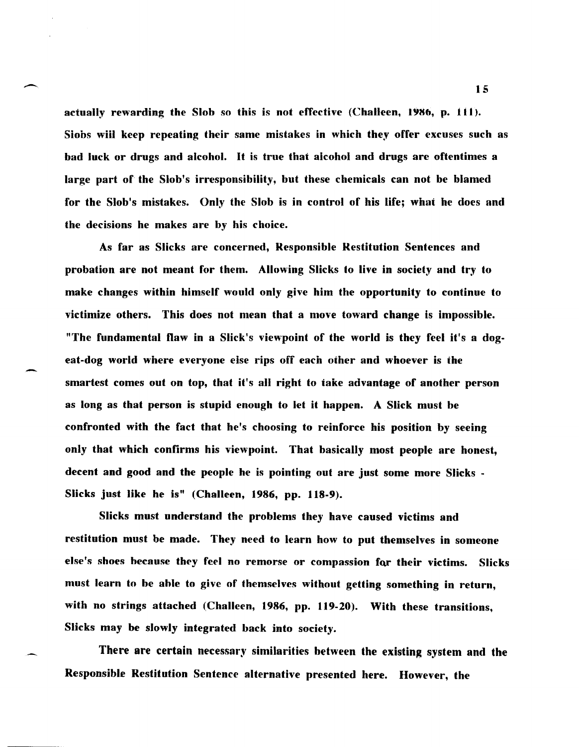actually rewarding the Slob so this is not effective (Challeen,  $1986$ , p. 111). Siobs wiil keep repeating their same mistakes in which they offer excuses such as bad luck or drugs and alcohol. It is true that alcohol and drugs are oftentimes a large part of the Slob's irresponsibility, but these chemicals can not be blamed for the Slob's mistakes. Only the Slob is in control of his life; what he does and the decisions he makes are by his choice.

--

-

As far as Slicks are concerned, Responsible Restitution Sentences and probation are not meant for them. Allowing Slicks to live in society and try to make changes within himself would only give him the opportunity to continue to victimize others. This does not mean that a move toward change is impossible. "The fundamental flaw in a Slick's viewpoint of the world is they feel it's a dogeat-dog world where everyone eise rips off each other and whoever is ihe smartest comes out on top, that it's all right to take advantage of another person as long as that person is stupid enough to let it happen. A Slick must be confronted with the fact that he's choosing to reinforce his position by seeing only that which confirms his viewpoint. That basically most people are honest, decent and good and the people he is pointing out are just some more Slicks - Slicks just like he is" (Challeen, 1986, pp. 118-9).

Slicks must understand the problems they have caused victims and restitution must be made. They need to learn how to put themselves in someone else's shoes because they feel no remorse or compassion for their victims. Slicks must learn to be able to give of themselves without getting something in return, with no strings attached (Challeen, 1986, pp. 119-20). With these transitions, Slicks may be slowly integrated back into society.

There are certain necessary similarities between the existing system and the Responsible Restitution Sentence alternative presented here. However, the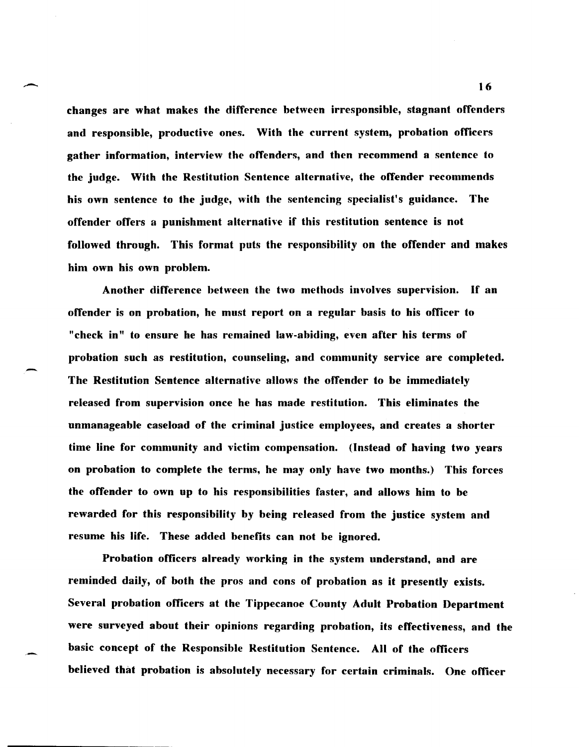changes are what makes the difference between irresponsible, stagnant offenders and responsible, productive ones. With the current system, probation officers gather information, interview the offenders, and then recommend a sentence to the judge. With the Restitution Sentence alternative, the offender recommends his own sentence to the judge, with the sentencing specialist's guidance. The offender offers a punishment alternative if this restitution sentence is not followed through. This format puts the responsibility on the offender and makes him own his own problem.

Another difference between the two methods involves supervision. If an offender is on probation, he must report on a regular basis to his officer to "check in" to ensure he has remained law-abiding, even after his terms of probation such as restitution, counseling, and community service are completed. The Restitution Sentence alternative allows the offender to be immediately released from supervision once he has made restitution. This eliminates the unmanageable caseload of the criminal justice employees, and creates a shorter time line for community and victim compensation. (Instead of having two years on probation to complete the terms, he may only have two months.) This forces the offender to own up to his responsibilities faster, and allows him to be rewarded for this responsibility by being released from the justice system and resume his life. These added benefits can not be ignored.

Probation officers already working in the system understand, and are reminded daily, of both the pros and cons of probation as it presently exists. Several probation officers at the Tippecanoe County Adult Probation Department were surveyed about their opinions regarding probation, its effectiveness, and the basic concept of the Responsible Restitution Sentence. All of the officers believed that probation is absolutely necessary for certain criminals. One officer

 $\sim$  16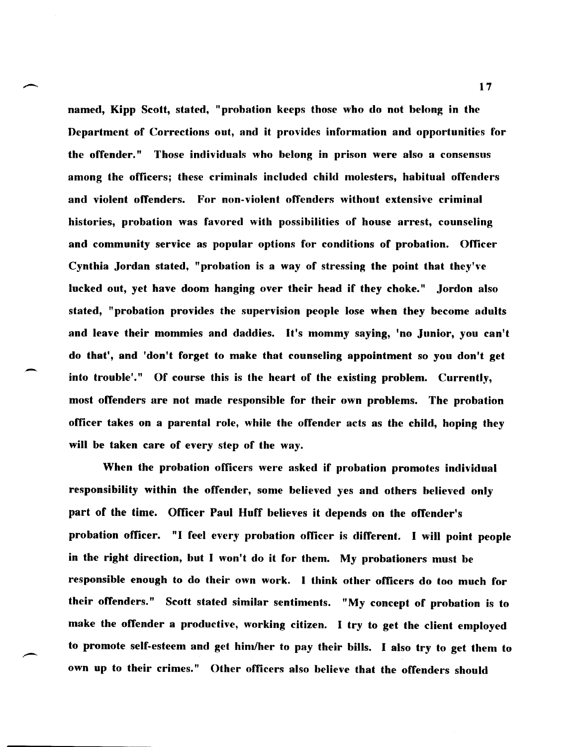named, Kipp Scott, stated, "probation keeps those who do not helong in the Department of Corrections out, and it provides information and opportunities for the offender." Those individuals who belong in prison were also a consensus among the officers; these criminals included child molesters, hahitual offenders and violent offenders. For non-violent offenders without extensive criminal histories, probation was favored with possibilities of house arrest, counseling and community service as popular options for conditions of probation. Officer Cynthia Jordan stated, "probation is a way of stressing the point that they've lucked out, yet have doom hanging over their head if they choke." Jordon also stated, "probation provides the supervision people lose when they become adults and leave their mommies and daddies. It's mommy saying, 'no junior, you can't do that', and 'don't forget to make that counseling appointment so you don't get into trouble'." Of course this is the heart of the existing problem. Currently, most offenders are not made responsible for their own problems. The probation officer takes on a parental role, while the offender acts as the child, hoping they will be taken care of every step of the way.

.-

When the probation officers were asked if probation promotes individual responsibility within the offender, some believed yes and others helieved only part of the time. Officer Paul Huff believes it depends on the offender's probation officer. "I feel every prohation officer is different. I will point people in the right direction, but I won't do it for them. My probationers must be responsible enough to do their own work. I think other officers do too much for their offenders." Scott stated similar sentiments. "My concept of probation is to make the offender a productive, working citizen. I try to get the client employed to promote self-esteem and get him/her to pay their bills. I also try to get them to own up to their crimes." Other officers also believe that the offenders should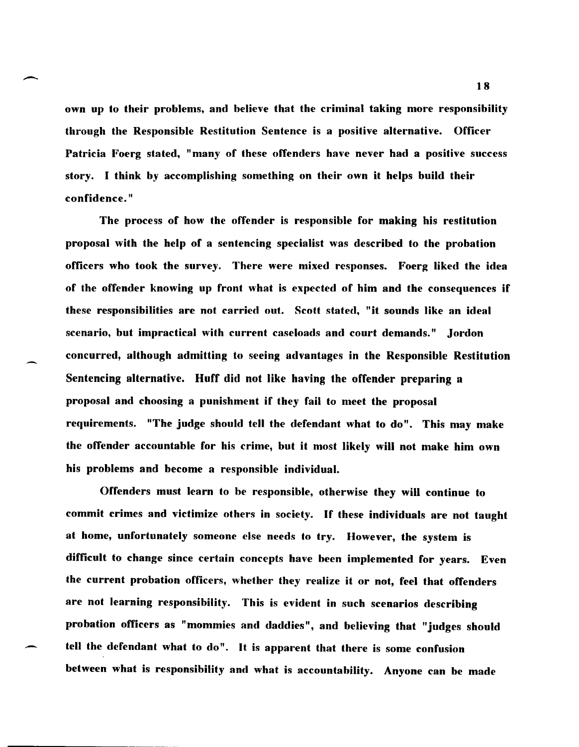own up to their problems, and believe that the criminal taking more responsihility through the Responsible Restitution Sentence is a positive alternative. Officer Patricia Foerg stated, "many of these offenders have never had a positive success story. I think by accomplishing something on their own it helps build their confidence. "

The process of how the offender is responsible for making his restitution proposal with the help of a sentencing specialist was described to the probation officers who took the survey. There were mixed responses. Foerg liked the idea of the offender knowing up front what is expected of him and the consequences if these responsihilities are not carried out. Scott stated, "it sounds like an ideal scenario, but impractical with current caseloads and court demands." Jordon concurred, although admitting to seeing advantages in the Responsible Restitution Sentencing alternative. Huff did not like having the offender preparing a proposal and choosing a punishment if they fail to meet the proposal requirements. "The judge should tell the defendant what to do". This may make the offender accountable for his crime, but it most likely will not make him own his problems and become a responsible individual.

Offenders must learn to be responsible, otherwise they will continue to commit crimes and victimize others in society. If these individuals are not taught at home, unfortunately someone else needs to try. However, the system is difficult to change since certain concepts have been implemented for years. Even the current probation officers, whether they realize it or not, feel that offenders are not learning responsibility. This is evident in such scenarios describing probation officers as "mommies and daddies", and helieving that "judges should tell the defendant what to do". It is apparent that there is some confusion between what is responsibility and what is accountability. Anyone can be made

 $\sim$  18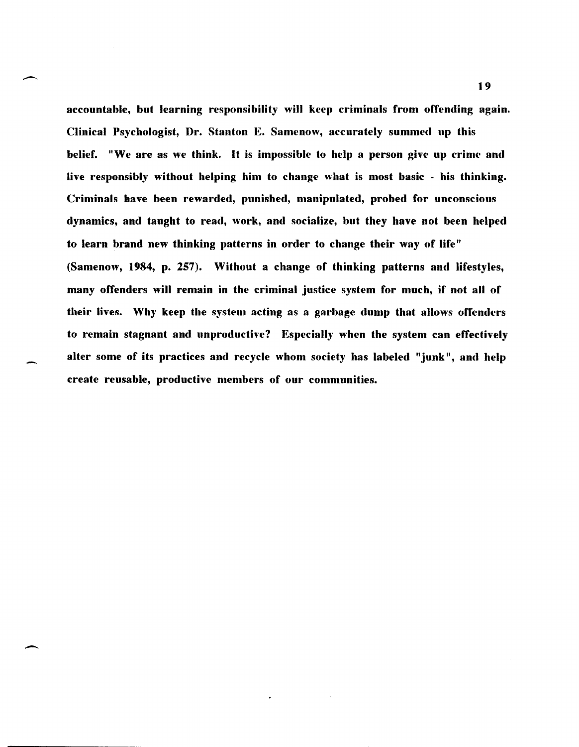accountable, but learning responsibility will keep criminals from offending again. Clinical Psychologist, Dr. Stanton E. Samenow, accurately summed up this belief. "We are as we think. It is impossible to help a person give up crime and live responsibly without helping him to change what is most basic - his thinking. Criminals have been rewarded, punished, manipulated, probed for unconscious dynamics, and taught to read, work, and socialize, but they have not been helped to learn brand new thinking patterns in order to change their way of life" (Samenow, 1984, p. 257). Without a change of thinking patterns and lifestyles, many offenders will remain in the criminal justice system for much, if not all of their lives. Why keep the system acting as a garbage dump that allows offenders to remain stagnant and unproductive? Especially when the system can effectively alter some of its practices and recycle whom society has labeled "junk", and help create reusable, productive members of our communities.

.-